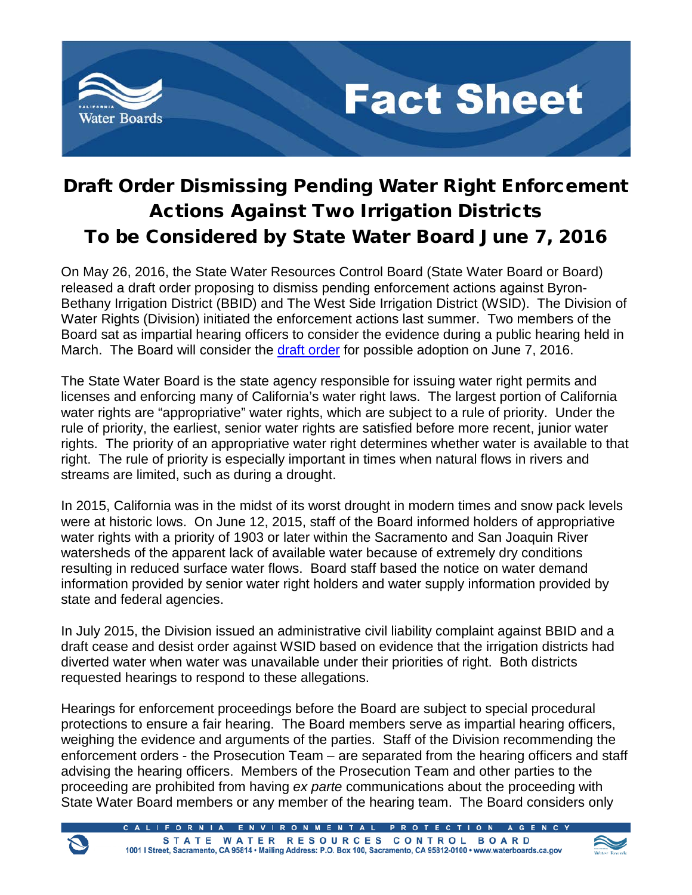

## **Fact Sheet**

## Draft Order Dismissing Pending Water Right Enforcement Actions Against Two Irrigation Districts To be Considered by State Water Board June 7, 2016

On May 26, 2016, the State Water Resources Control Board (State Water Board or Board) released a draft order proposing to dismiss pending enforcement actions against Byron-Bethany Irrigation District (BBID) and The West Side Irrigation District (WSID). The Division of Water Rights (Division) initiated the enforcement actions last summer. Two members of the Board sat as impartial hearing officers to consider the evidence during a public hearing held in March. The Board will consider the [draft order](http://www.waterboards.ca.gov/waterrights/water_issues/programs/hearings/byron_bethany/docs/bbid_wsid/draftorder_bbidwsid052616.pdf) for possible adoption on June 7, 2016.

The State Water Board is the state agency responsible for issuing water right permits and licenses and enforcing many of California's water right laws. The largest portion of California water rights are "appropriative" water rights, which are subject to a rule of priority. Under the rule of priority, the earliest, senior water rights are satisfied before more recent, junior water rights. The priority of an appropriative water right determines whether water is available to that right. The rule of priority is especially important in times when natural flows in rivers and streams are limited, such as during a drought.

In 2015, California was in the midst of its worst drought in modern times and snow pack levels were at historic lows. On June 12, 2015, staff of the Board informed holders of appropriative water rights with a priority of 1903 or later within the Sacramento and San Joaquin River watersheds of the apparent lack of available water because of extremely dry conditions resulting in reduced surface water flows. Board staff based the notice on water demand information provided by senior water right holders and water supply information provided by state and federal agencies.

In July 2015, the Division issued an administrative civil liability complaint against BBID and a draft cease and desist order against WSID based on evidence that the irrigation districts had diverted water when water was unavailable under their priorities of right. Both districts requested hearings to respond to these allegations.

Hearings for enforcement proceedings before the Board are subject to special procedural protections to ensure a fair hearing. The Board members serve as impartial hearing officers, weighing the evidence and arguments of the parties. Staff of the Division recommending the enforcement orders - the Prosecution Team – are separated from the hearing officers and staff advising the hearing officers. Members of the Prosecution Team and other parties to the proceeding are prohibited from having *ex parte* communications about the proceeding with State Water Board members or any member of the hearing team. The Board considers only

> ALIFORNIA ENVIRONMENTAL PROTECTION AGENCY STATE WATER RESOURCES CONTROL BOARD 1001 I Street, Sacramento, CA 95814 · Mailing Address: P.O. Box 100, Sacramento, CA 95812-0100 · www.waterboards.ca.gov